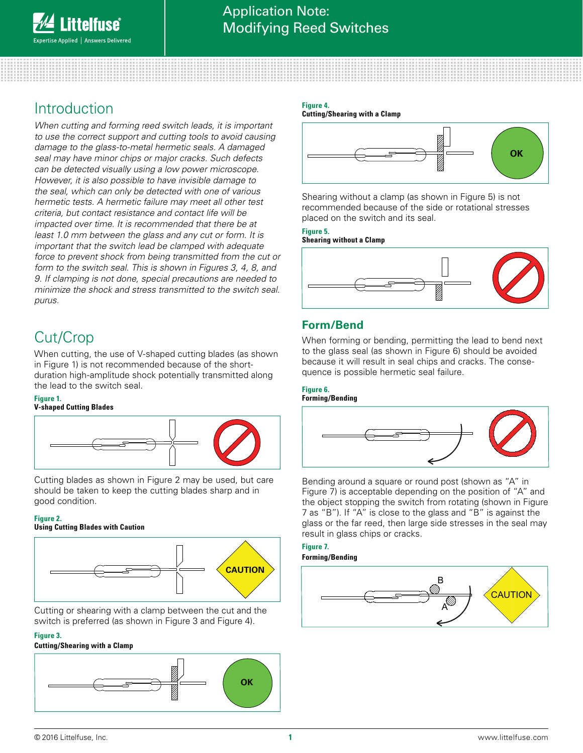# Introduction

*When cutting and forming reed switch leads, it is important to use the correct support and cutting tools to avoid causing damage to the glass-to-metal hermetic seals. A damaged seal may have minor chips or major cracks. Such defects can be detected visually using a low power microscope. However, it is also possible to have invisible damage to the seal, which can only be detected with one of various hermetic tests. A hermetic failure may meet all other test criteria, but contact resistance and contact life will be impacted over time. It is recommended that there be at least 1.0 mm between the glass and any cut or form. It is important that the switch lead be clamped with adequate*  force to prevent shock from being transmitted from the cut or *form to the switch seal. This is shown in Figures 3, 4, 8, and 9. If clamping is not done, special precautions are needed to minimize the shock and stress transmitted to the switch seal. purus.*

# Cut/Crop

When cutting, the use of V-shaped cutting blades (as shown in Figure 1) is not recommended because of the shortduration high-amplitude shock potentially transmitted along the lead to the switch seal.

## **Figure 1.**

### **V-shaped Cutting Blades**



Cutting blades as shown in Figure 2 may be used, but care should be taken to keep the cutting blades sharp and in good condition.

## **Figure 2.**

### **Using Cutting Blades with Caution**



Cutting or shearing with a clamp between the cut and the **Cutting or shearing with a clamp between the cut and the**<br>switch is preferred (as shown in Figure 3 and Figure 4).

### **Figure 3.**

## **Cutting/Shearing with a Clamp**



### **Figure 4. Cutting/Shearing with a Clamp**



**OK**

 **CAUTION**

Shearing without a clamp (as shown in Figure 5) is not recommended because of the side or rotational stresses **placed** on the quitable and its seal placed on the switch and its seal.

### **Figure 5. Shearing without a Clamp**



# **Form/Bend**

When forming or bending, permitting the lead to bend next to the glass seal (as shown in Figure 6) should be avoided because it will result in seal chips and cracks. The consequence is possible hermetic seal failure.

### **Figure 6. Forming/Bending**



Bending around a square or round post (shown as "A" in Figure 7) is acceptable depending on the position of "A" and the object stopping the switch from rotating (shown in Figure 7 as "B"). If "A" is close to the glass and "B" is against the glass or the far reed, then large side stresses in the seal may result in glass chips or cracks.

### **Figure 7. Forming/Bending**